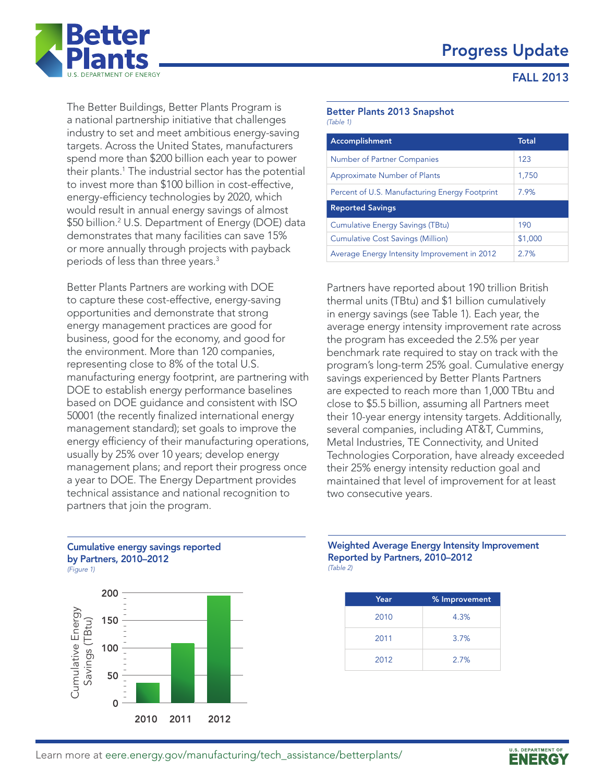### Progress Update



FALL 2013

The Better Buildings, Better Plants Program is a national partnership initiative that challenges industry to set and meet ambitious energy-saving targets. Across the United States, manufacturers spend more than \$200 billion each year to power their plants.1 The industrial sector has the potential to invest more than \$100 billion in cost-effective, energy-efficiency technologies by 2020, which would result in annual energy savings of almost \$50 billion.2 U.S. Department of Energy (DOE) data demonstrates that many facilities can save 15% or more annually through projects with payback periods of less than three years.3

Better Plants Partners are working with DOE to capture these cost-effective, energy-saving opportunities and demonstrate that strong energy management practices are good for business, good for the economy, and good for the environment. More than 120 companies, representing close to 8% of the total U.S. manufacturing energy footprint, are partnering with DOE to establish energy performance baselines based on DOE guidance and consistent with ISO 50001 (the recently finalized international energy management standard); set goals to improve the energy efficiency of their manufacturing operations, usually by 25% over 10 years; develop energy management plans; and report their progress once a year to DOE. The Energy Department provides technical assistance and national recognition to partners that join the program.

#### Better Plants 2013 Snapshot *(Table 1)*

| Accomplishment                                 | <b>Total</b> |  |
|------------------------------------------------|--------------|--|
| <b>Number of Partner Companies</b>             | 123          |  |
| <b>Approximate Number of Plants</b>            | 1,750        |  |
| Percent of U.S. Manufacturing Energy Footprint | 7.9%         |  |
| <b>Reported Savings</b>                        |              |  |
| <b>Cumulative Energy Savings (TBtu)</b>        | 190          |  |
| <b>Cumulative Cost Savings (Million)</b>       | \$1,000      |  |
| Average Energy Intensity Improvement in 2012   | 2.7%         |  |

Partners have reported about 190 trillion British thermal units (TBtu) and \$1 billion cumulatively in energy savings (see Table 1). Each year, the average energy intensity improvement rate across the program has exceeded the 2.5% per year benchmark rate required to stay on track with the program's long-term 25% goal. Cumulative energy savings experienced by Better Plants Partners are expected to reach more than 1,000 TBtu and close to \$5.5 billion, assuming all Partners meet their 10-year energy intensity targets. Additionally, several companies, including AT&T, Cummins, Metal Industries, TE Connectivity, and United Technologies Corporation, have already exceeded their 25% energy intensity reduction goal and maintained that level of improvement for at least two consecutive years.

### 200 Cumulative energy savings reported by Partners, 2010–2012 *(Figure 1)*



#### Weighted Average Energy Intensity Improvement Reported by Partners, 2010–2012 *(Table 2)*

| Year | % Improvement |
|------|---------------|
| 2010 | 4.3%          |
| 2011 | 3.7%          |
| 2012 | 2.7%          |

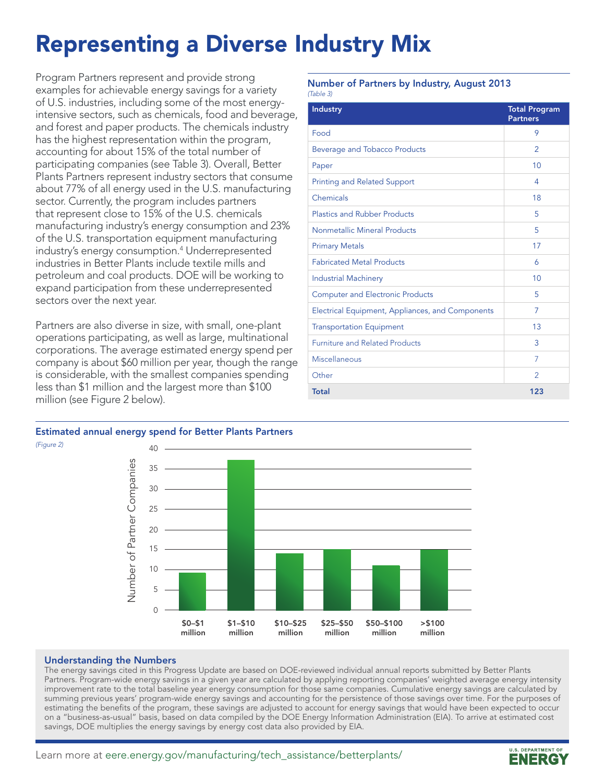## Representing a Diverse Industry Mix

Program Partners represent and provide strong examples for achievable energy savings for a variety of U.S. industries, including some of the most energyintensive sectors, such as chemicals, food and beverage, and forest and paper products. The chemicals industry has the highest representation within the program, accounting for about 15% of the total number of participating companies (see Table 3). Overall, Better Plants Partners represent industry sectors that consume about 77% of all energy used in the U.S. manufacturing sector. Currently, the program includes partners that represent close to 15% of the U.S. chemicals manufacturing industry's energy consumption and 23% of the U.S. transportation equipment manufacturing industry's energy consumption.4 Underrepresented industries in Better Plants include textile mills and petroleum and coal products. DOE will be working to expand participation from these underrepresented sectors over the next year.

Partners are also diverse in size, with small, one-plant operations participating, as well as large, multinational corporations. The average estimated energy spend per company is about \$60 million per year, though the range is considerable, with the smallest companies spending less than \$1 million and the largest more than \$100 million (see Figure 2 below).

### Estimated annual energy spend for Better Plants Partners



#### Understanding the Numbers

The energy savings cited in this Progress Update are based on DOE-reviewed individual annual reports submitted by Better Plants Partners. Program-wide energy savings in a given year are calculated by applying reporting companies' weighted average energy intensity improvement rate to the total baseline year energy consumption for those same companies. Cumulative energy savings are calculated by summing previous years' program-wide energy savings and accounting for the persistence of those savings over time. For the purposes of estimating the benefits of the program, these savings are adjusted to account for energy savings that would have been expected to occur on a "business-as-usual" basis, based on data compiled by the DOE Energy Information Administration (EIA). To arrive at estimated cost savings, DOE multiplies the energy savings by energy cost data also provided by EIA.

#### Number of Partners by Industry, August 2013 *(Table 3)*

| <b>Industry</b>                                  | <b>Total Program</b><br><b>Partners</b> |
|--------------------------------------------------|-----------------------------------------|
| Food                                             | 9                                       |
| Beverage and Tobacco Products                    | 2                                       |
| Paper                                            | 10                                      |
| <b>Printing and Related Support</b>              | 4                                       |
| Chemicals                                        | 18                                      |
| <b>Plastics and Rubber Products</b>              | 5                                       |
| Nonmetallic Mineral Products                     | 5                                       |
| <b>Primary Metals</b>                            | 17                                      |
| <b>Fabricated Metal Products</b>                 | 6                                       |
| <b>Industrial Machinery</b>                      | 10                                      |
| <b>Computer and Electronic Products</b>          | 5                                       |
| Electrical Equipment, Appliances, and Components | 7                                       |
| <b>Transportation Equipment</b>                  | 13                                      |
| <b>Furniture and Related Products</b>            | 3                                       |
| Miscellaneous                                    | $\overline{7}$                          |
| Other                                            | $\mathcal{P}$                           |
| <b>Total</b>                                     | 123                                     |

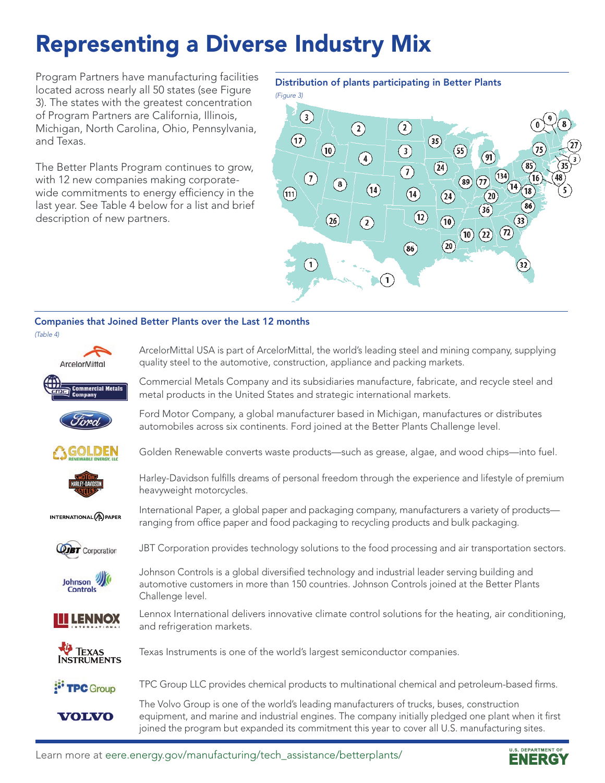## Representing a Diverse Industry Mix

Program Partners have manufacturing facilities located across nearly all 50 states (see Figure 3). The states with the greatest concentration of Program Partners are California, Illinois, Michigan, North Carolina, Ohio, Pennsylvania, and Texas.

The Better Plants Program continues to grow, with 12 new companies making corporatewide commitments to energy efficiency in the last year. See Table 4 below for a list and brief description of new partners.

Distribution of plants participating in Better Plants



### Companies that Joined Better Plants over the Last 12 months

Challenge level.





Ford Motor Company, a global manufacturer based in Michigan, manufactures or distributes automobiles across six continents. Ford joined at the Better Plants Challenge level.

Golden Renewable converts waste products—such as grease, algae, and wood chips—into fuel.



Harley-Davidson fulfills dreams of personal freedom through the experience and lifestyle of premium heavyweight motorcycles.

International Paper, a global paper and packaging company, manufacturers a variety of products—

JBT Corporation provides technology solutions to the food processing and air transportation sectors.

ranging from office paper and food packaging to recycling products and bulk packaging.

Johnson Controls is a global diversified technology and industrial leader serving building and automotive customers in more than 150 countries. Johnson Controls joined at the Better Plants

INTERNATIONAL<sup>(A)</sup>PAPER



Johnson **Controls** 



Lennox International delivers innovative climate control solutions for the heating, air conditioning, and refrigeration markets.

**TEXAS INSTRUMENTS** 

VOLVO

Texas Instruments is one of the world's largest semiconductor companies.

TPC Group LLC provides chemical products to multinational chemical and petroleum-based firms. <sup>:</sup> TPC Group

> The Volvo Group is one of the world's leading manufacturers of trucks, buses, construction equipment, and marine and industrial engines. The company initially pledged one plant when it first joined the program but expanded its commitment this year to cover all U.S. manufacturing sites.

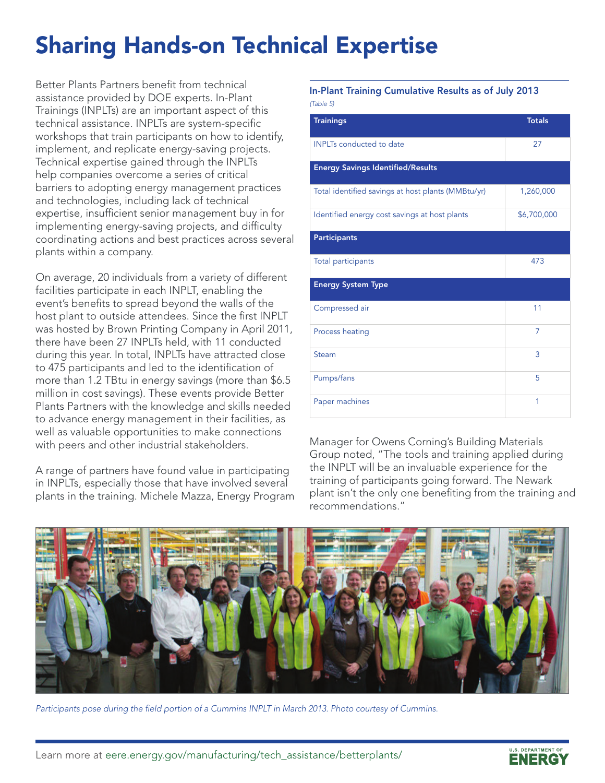# Sharing Hands-on Technical Expertise

Better Plants Partners benefit from technical assistance provided by DOE experts. In-Plant Trainings (INPLTs) are an important aspect of this technical assistance. INPLTs are system-specific workshops that train participants on how to identify, implement, and replicate energy-saving projects. Technical expertise gained through the INPLTs help companies overcome a series of critical barriers to adopting energy management practices and technologies, including lack of technical expertise, insufficient senior management buy in for implementing energy-saving projects, and difficulty coordinating actions and best practices across several plants within a company.

On average, 20 individuals from a variety of different facilities participate in each INPLT, enabling the event's benefits to spread beyond the walls of the host plant to outside attendees. Since the first INPLT was hosted by Brown Printing Company in April 2011, there have been 27 INPLTs held, with 11 conducted during this year. In total, INPLTs have attracted close to 475 participants and led to the identification of more than 1.2 TBtu in energy savings (more than \$6.5 million in cost savings). These events provide Better Plants Partners with the knowledge and skills needed to advance energy management in their facilities, as well as valuable opportunities to make connections with peers and other industrial stakeholders.

A range of partners have found value in participating in INPLTs, especially those that have involved several plants in the training. Michele Mazza, Energy Program In-Plant Training Cumulative Results as of July 2013 *(Table 5)* 

| <b>Trainings</b>                                   | <b>Totals</b> |
|----------------------------------------------------|---------------|
| <b>INPLTs</b> conducted to date                    | 27            |
| <b>Energy Savings Identified/Results</b>           |               |
| Total identified savings at host plants (MMBtu/yr) | 1,260,000     |
| Identified energy cost savings at host plants      | \$6,700,000   |
| <b>Participants</b>                                |               |
| Total participants                                 | 473           |
| <b>Energy System Type</b>                          |               |
| Compressed air                                     | 11            |
| Process heating                                    | 7             |
| Steam                                              | 3             |
| Pumps/fans                                         | 5             |
| Paper machines                                     | 1             |

Manager for Owens Corning's Building Materials Group noted, "The tools and training applied during the INPLT will be an invaluable experience for the training of participants going forward. The Newark plant isn't the only one benefiting from the training and recommendations."



*Participants pose during the field portion of a Cummins INPLT in March 2013. Photo courtesy of Cummins.*

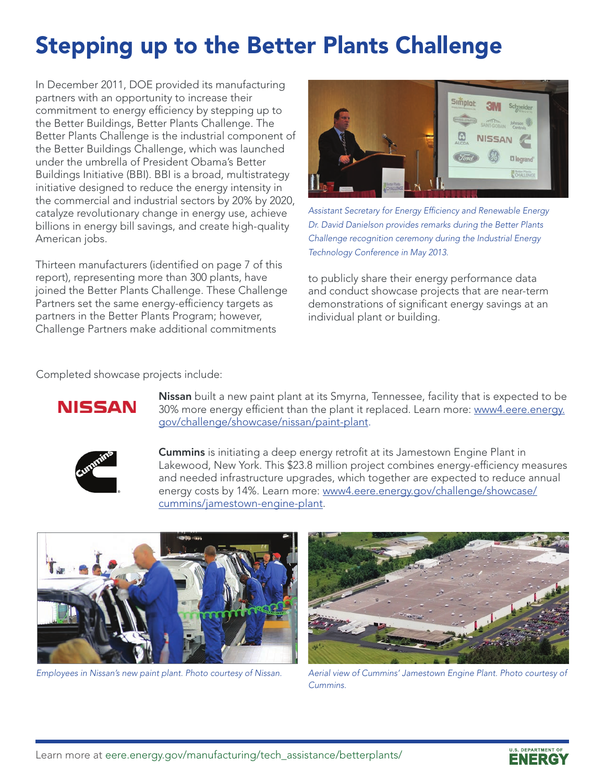# Stepping up to the Better Plants Challenge

In December 2011, DOE provided its manufacturing partners with an opportunity to increase their commitment to energy efficiency by stepping up to the Better Buildings, Better Plants Challenge. The Better Plants Challenge is the industrial component of the Better Buildings Challenge, which was launched under the umbrella of President Obama's Better Buildings Initiative (BBI). BBI is a broad, multistrategy initiative designed to reduce the energy intensity in the commercial and industrial sectors by 20% by 2020, catalyze revolutionary change in energy use, achieve billions in energy bill savings, and create high-quality American jobs.

Thirteen manufacturers (identified on page 7 of this report), representing more than 300 plants, have joined the Better Plants Challenge. These Challenge Partners set the same energy-efficiency targets as partners in the Better Plants Program; however, Challenge Partners make additional commitments



*Assistant Secretary for Energy Efficiency and Renewable Energy Dr. David Danielson provides remarks during the Better Plants Challenge recognition ceremony during the Industrial Energy Technology Conference in May 2013.*

to publicly share their energy performance data and conduct showcase projects that are near-term demonstrations of significant energy savings at an individual plant or building.

Completed showcase projects include:



Nissan built a new paint plant at its Smyrna, Tennessee, facility that is expected to be 30% more energy efficient than the plant it replaced. Learn more: [www4.eere.energy.](http://www4.eere.energy.gov/challenge/showcase/nissan/paint-plant) [gov/challenge/showcase/nissan/paint-plant.](http://www4.eere.energy.gov/challenge/showcase/nissan/paint-plant)



Cummins is initiating a deep energy retrofit at its Jamestown Engine Plant in Lakewood, New York. This \$23.8 million project combines energy-efficiency measures and needed infrastructure upgrades, which together are expected to reduce annual energy costs by 14%. Learn more: [www4.eere.energy.gov/challenge/showcase/](http://www4.eere.energy.gov/challenge/showcase/cummins/jamestown-engine-plant) [cummins/jamestown-engine-plant.](http://www4.eere.energy.gov/challenge/showcase/cummins/jamestown-engine-plant)





*Employees in Nissan's new paint plant. Photo courtesy of Nissan. Aerial view of Cummins' Jamestown Engine Plant. Photo courtesy of Cummins.*

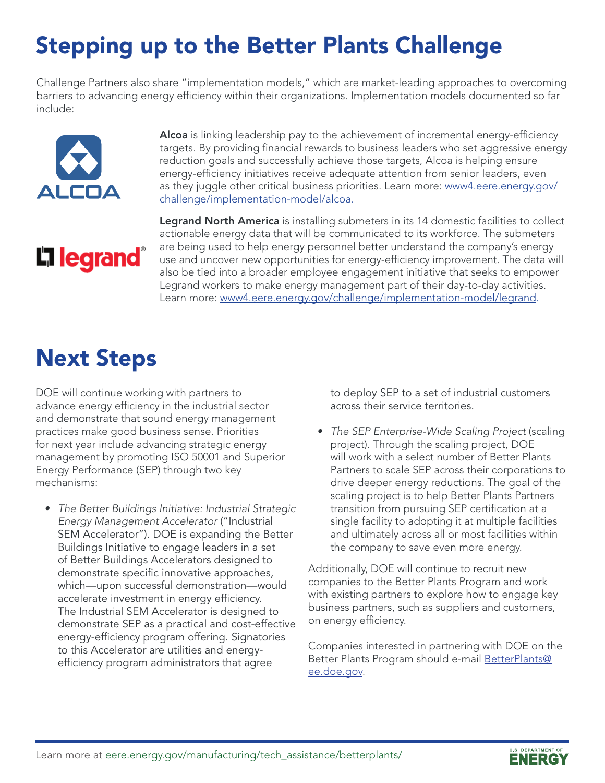# Stepping up to the Better Plants Challenge

Challenge Partners also share "implementation models," which are market-leading approaches to overcoming barriers to advancing energy efficiency within their organizations. Implementation models documented so far include:



Alcoa is linking leadership pay to the achievement of incremental energy-efficiency targets. By providing financial rewards to business leaders who set aggressive energy reduction goals and successfully achieve those targets, Alcoa is helping ensure energy-efficiency initiatives receive adequate attention from senior leaders, even as they juggle other critical business priorities. Learn more: [www4.eere.energy.gov/](http://www4.eere.energy.gov/challenge/implementation-model/alcoa) [challenge/implementation-model/alcoa](http://www4.eere.energy.gov/challenge/implementation-model/alcoa).

# **L'1 legrand**

Legrand North America is installing submeters in its 14 domestic facilities to collect actionable energy data that will be communicated to its workforce. The submeters are being used to help energy personnel better understand the company's energy use and uncover new opportunities for energy-efficiency improvement. The data will also be tied into a broader employee engagement initiative that seeks to empower Legrand workers to make energy management part of their day-to-day activities. Learn more: [www4.eere.energy.gov/challenge/implementation-model/legrand.](http://www4.eere.energy.gov/challenge/implementation-model/legrand)

## Next Steps

DOE will continue working with partners to advance energy efficiency in the industrial sector and demonstrate that sound energy management practices make good business sense. Priorities for next year include advancing strategic energy management by promoting ISO 50001 and Superior Energy Performance (SEP) through two key mechanisms:

*• The Better Buildings Initiative: Industrial Strategic Energy Management Accelerator* ("Industrial SEM Accelerator"). DOE is expanding the Better Buildings Initiative to engage leaders in a set of Better Buildings Accelerators designed to demonstrate specific innovative approaches, which—upon successful demonstration—would accelerate investment in energy efficiency. The Industrial SEM Accelerator is designed to demonstrate SEP as a practical and cost-effective energy-efficiency program offering. Signatories to this Accelerator are utilities and energyefficiency program administrators that agree

to deploy SEP to a set of industrial customers across their service territories.

*• The SEP Enterprise-Wide Scaling Project* (scaling project). Through the scaling project, DOE will work with a select number of Better Plants Partners to scale SEP across their corporations to drive deeper energy reductions. The goal of the scaling project is to help Better Plants Partners transition from pursuing SEP certification at a single facility to adopting it at multiple facilities and ultimately across all or most facilities within the company to save even more energy.

Additionally, DOE will continue to recruit new companies to the Better Plants Program and work with existing partners to explore how to engage key business partners, such as suppliers and customers, on energy efficiency.

Companies interested in partnering with DOE on the Better Plants Program should e-mail [BetterPlants@](mailto:BetterPlants%40ee.doe.gov?subject=) [ee.doe.gov.](mailto:BetterPlants%40ee.doe.gov?subject=)

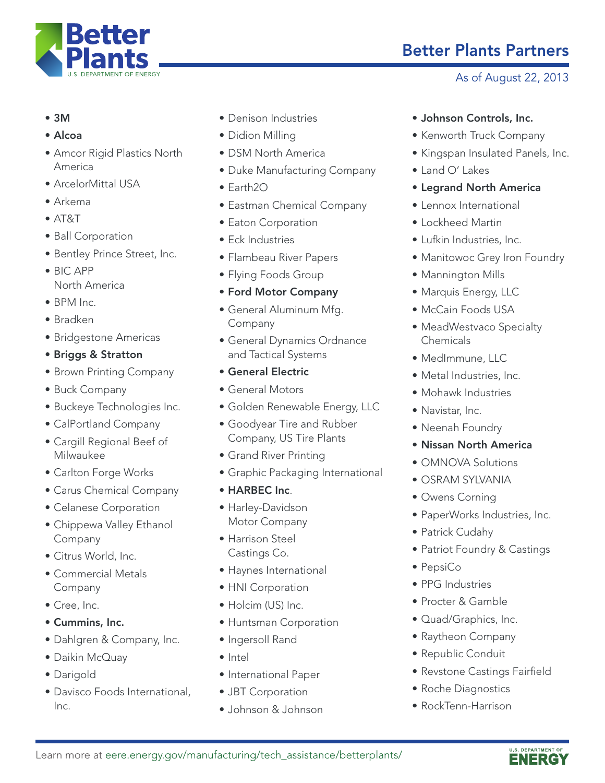

- 3M
- Alcoa
- Amcor Rigid Plastics North America
- ArcelorMittal USA
- Arkema
- AT&T
- Ball Corporation
- Bentley Prince Street, Inc.
- BIC APP North America
- BPM Inc.
- Bradken
- Bridgestone Americas
- Briggs & Stratton
- Brown Printing Company
- Buck Company
- Buckeye Technologies Inc.
- CalPortland Company
- Cargill Regional Beef of Milwaukee
- Carlton Forge Works
- Carus Chemical Company
- Celanese Corporation
- Chippewa Valley Ethanol Company
- Citrus World, Inc.
- Commercial Metals Company
- Cree, Inc.
- Cummins, Inc.
- Dahlgren & Company, Inc.
- Daikin McQuay
- Darigold
- Davisco Foods International, Inc.
- Denison Industries
- Didion Milling
- DSM North America
- Duke Manufacturing Company
- Earth2O
- Eastman Chemical Company
- Eaton Corporation
- Eck Industries
- Flambeau River Papers
- Flying Foods Group
- Ford Motor Company
- General Aluminum Mfg. Company
- General Dynamics Ordnance and Tactical Systems
- General Electric
- General Motors
- Golden Renewable Energy, LLC
- Goodyear Tire and Rubber Company, US Tire Plants
- Grand River Printing
- Graphic Packaging International
- HARBEC Inc.
- Harley-Davidson Motor Company
- Harrison Steel Castings Co.
- Haynes International
- HNI Corporation
- Holcim (US) Inc.
- Huntsman Corporation
- Ingersoll Rand
- Intel
- International Paper
- JBT Corporation
- Johnson & Johnson

## Better Plants Partners

### As of August 22, 2013

- Johnson Controls, Inc.
- Kenworth Truck Company
- Kingspan Insulated Panels, Inc.
- Land O' Lakes
- Legrand North America
- Lennox International
- Lockheed Martin
- Lufkin Industries, Inc.
- Manitowoc Grey Iron Foundry
- Mannington Mills
- Marquis Energy, LLC
- McCain Foods USA
- MeadWestvaco Specialty Chemicals
- MedImmune, LLC
- Metal Industries, Inc.
- Mohawk Industries
- Navistar, Inc.
- Neenah Foundry
- Nissan North America
- OMNOVA Solutions
- OSRAM SYLVANIA
- Owens Corning
- PaperWorks Industries, Inc.
- Patrick Cudahy
- Patriot Foundry & Castings
- PepsiCo
- PPG Industries
- Procter & Gamble
- Quad/Graphics, Inc.
- Raytheon Company
- Republic Conduit
- Revstone Castings Fairfield
- Roche Diagnostics
- RockTenn-Harrison